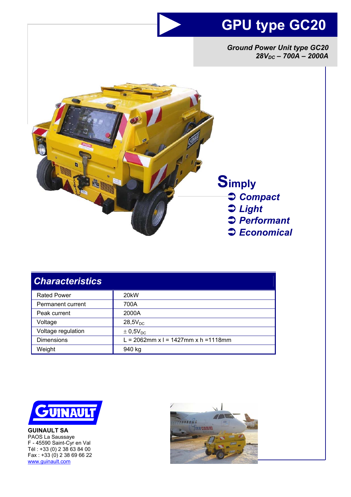# **GPU type GC20**

*Ground Power Unit type GC20*   $28V_{DC}$  – 700A – 2000A



| <b>Characteristics</b> |                                      |
|------------------------|--------------------------------------|
| <b>Rated Power</b>     | 20 <sub>k</sub> W                    |
| Permanent current      | 700A                                 |
| Peak current           | 2000A                                |
| Voltage                | $28,5V_{DC}$                         |
| Voltage regulation     | $\pm$ 0,5V <sub>DC</sub>             |
| <b>Dimensions</b>      | L = 2062mm x l = 1427mm x h = 1118mm |
| Weight                 | 940 kg                               |



**GUINAULT SA**  PAOS La Saussaye F - 45590 Saint-Cyr en Val Tél : +33 (0) 2 38 63 84 00 Fax : +33 (0) 2 38 69 66 22 www.guinault.com